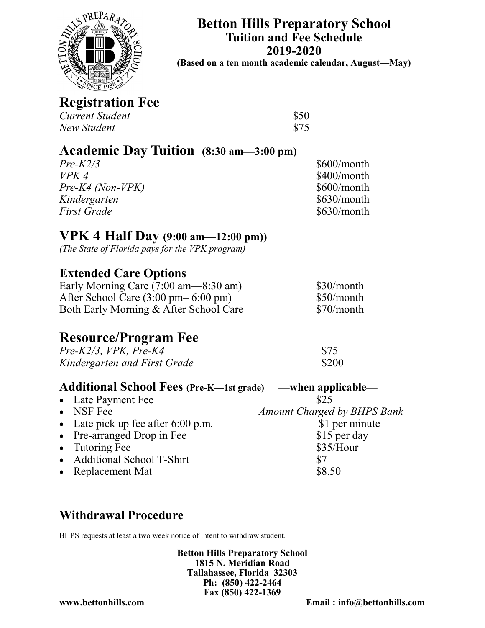

**Betton Hills Preparatory School Tuition and Fee Schedule 2019-2020**

**(Based on a ten month academic calendar, August—May)**

**Registration Fee**

| Current Student | \$50 |
|-----------------|------|
| New Student     | \$75 |

# **Academic Day Tuition (8:30 am—3:00 pm)**

*Pre-K2/3* \$600/month *VPK 4* \$400/month *Pre-K4 (Non-VPK)* \$600/month *Kindergarten* \$630/month *First Grade* \$630/month

# **VPK 4 Half Day (9:00 am—12:00 pm))**

*(The State of Florida pays for the VPK program)*

### **Extended Care Options**

Early Morning Care  $(7:00 \text{ am} - 8:30 \text{ am})$  \$30/month After School Care (3:00 pm– 6:00 pm) \$50/month Both Early Morning & After School Care \$70/month

# **Resource/Program Fee**

*Pre-K2/3, VPK, Pre-K4* \$75 *Kindergarten and First Grade* \$200

#### **Additional School Fees (Pre-K—1st grade) —when applicable—**

- Late Payment Fee \$25
- NSF Fee *Amount Charged by BHPS Bank*
- Late pick up fee after 6:00 p.m. \$1 per minute
- Pre-arranged Drop in Fee \$15 per day
- Tutoring Fee \$35/Hour
- Additional School T-Shirt  $$7$
- Replacement Mat  $$8.50$

## **Withdrawal Procedure**

BHPS requests at least a two week notice of intent to withdraw student.

**Betton Hills Preparatory School 1815 N. Meridian Road Tallahassee, Florida 32303 Ph: (850) 422-2464 Fax (850) 422-1369**

**www.bettonhills.com Email : info@bettonhills.com**